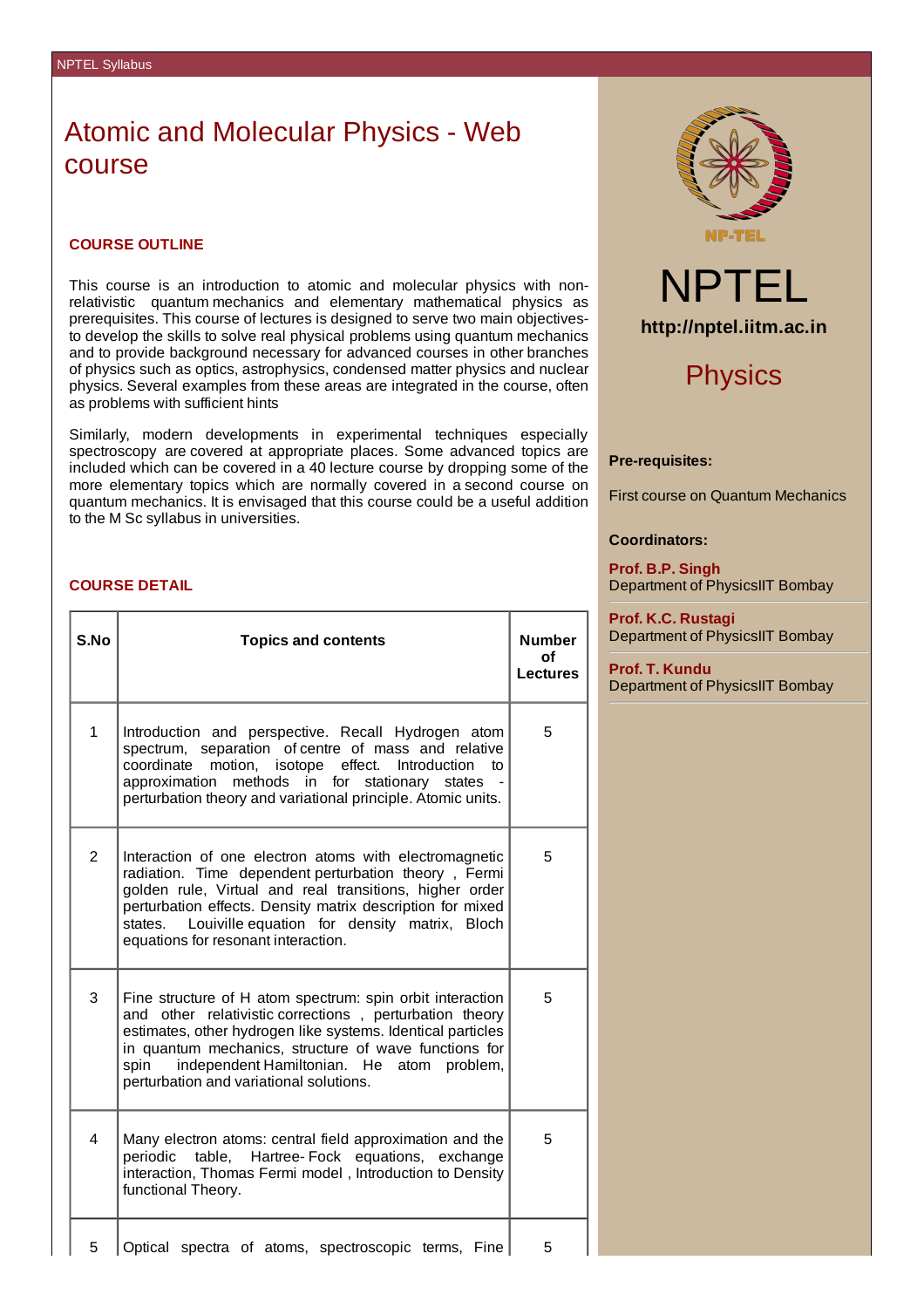# Atomic and Molecular Physics - Web course

#### **COURSE OUTLINE**

This course is an introduction to atomic and molecular physics with nonrelativistic quantum mechanics and elementary mathematical physics as prerequisites. This course of lectures is designed to serve two main objectivesto develop the skills to solve real physical problems using quantum mechanics and to provide background necessary for advanced courses in other branches of physics such as optics, astrophysics, condensed matter physics and nuclear physics. Several examples from these areas are integrated in the course, often as problems with sufficient hints

Similarly, modern developments in experimental techniques especially spectroscopy are covered at appropriate places. Some advanced topics are included which can be covered in a 40 lecture course by dropping some of the more elementary topics which are normally covered in a second course on quantum mechanics. It is envisaged that this course could be a useful addition to the M Sc syllabus in universities.

### **COURSE DETAIL**

| S.No           | <b>Topics and contents</b>                                                                                                                                                                                                                                                                                                                      | <b>Number</b><br>of<br><b>Lectures</b> |
|----------------|-------------------------------------------------------------------------------------------------------------------------------------------------------------------------------------------------------------------------------------------------------------------------------------------------------------------------------------------------|----------------------------------------|
| 1              | Introduction and perspective. Recall Hydrogen atom<br>spectrum, separation of centre of mass and relative<br>coordinate motion, isotope effect. Introduction to<br>approximation<br>methods in for stationary states<br>perturbation theory and variational principle. Atomic units.                                                            | 5                                      |
| $\overline{c}$ | Interaction of one electron atoms with electromagnetic<br>radiation. Time dependent perturbation theory, Fermi<br>golden rule, Virtual and real transitions, higher order<br>perturbation effects. Density matrix description for mixed<br>Louiville equation for density matrix, Bloch<br>states.<br>equations for resonant interaction.       | 5                                      |
| 3              | Fine structure of H atom spectrum: spin orbit interaction<br>and other relativistic corrections, perturbation theory<br>estimates, other hydrogen like systems. Identical particles<br>in quantum mechanics, structure of wave functions for<br>independent Hamiltonian. He<br>spin<br>atom problem,<br>perturbation and variational solutions. | 5                                      |
| 4              | Many electron atoms: central field approximation and the<br>periodic table, Hartree-Fock equations, exchange<br>interaction, Thomas Fermi model, Introduction to Density<br>functional Theory.                                                                                                                                                  | 5                                      |
| 5              | Optical spectra of atoms, spectroscopic terms, Fine                                                                                                                                                                                                                                                                                             | 5                                      |





## **Physics**

### **Pre-requisites:**

First course on Quantum Mechanics

### **Coordinators:**

**Prof. B.P. Singh** Department of PhysicsIIT Bombay

**Prof. K.C. Rustagi** Department of PhysicsIIT Bombay

**Prof. T. Kundu** Department of PhysicsIIT Bombay